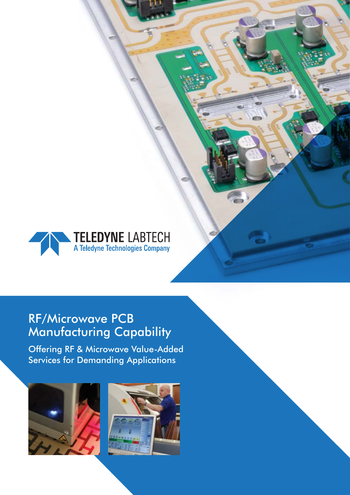

## RF/Microwave PCB Manufacturing Capability

Offering RF & Microwave Value-Added Services for Demanding Applications



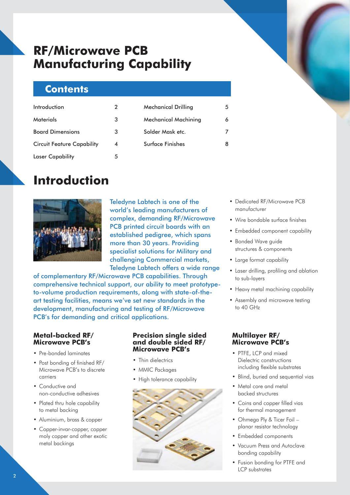## **RF/Microwave PCB Manufacturing Capability**

## **Contents**

| Introduction                      | 2 |  |
|-----------------------------------|---|--|
| Materials                         | 3 |  |
| <b>Board Dimensions</b>           | 3 |  |
| <b>Circuit Feature Capability</b> | 4 |  |
| <b>Laser Capability</b>           | 5 |  |

| <b>Mechanical Drilling</b>  |   |
|-----------------------------|---|
| <b>Mechanical Machining</b> | Á |
| Solder Mask etc.            |   |
| <b>Surface Finishes</b>     | Զ |
|                             |   |

## **Introduction**



Teledyne Labtech is one of the world's leading manufacturers of complex, demanding RF/Microwave PCB printed circuit boards with an established pedigree, which spans more than 30 years. Providing specialist solutions for Military and challenging Commercial markets, Teledyne Labtech offers a wide range

of complementary RF/Microwave PCB capabilities. Through comprehensive technical support, our ability to meet prototypeto-volume production requirements, along with state-of-theart testing facilities, means we've set new standards in the development, manufacturing and testing of RF/Microwave PCB's for demanding and critical applications.

### **Metal-backed RF/ Microwave PCB's**

- Pre-bonded laminates
- Post bonding of finished RF/ Microwave PCB's to discrete carriers
- Conductive and non-conductive adhesives
- Plated thru hole capability to metal backing
- Aluminium, brass & copper
- Copper-invar-copper, copper moly copper and other exotic metal backings

#### **Precision single sided and double sided RF/ Microwave PCB's**

- Thin dielectrics
- MMIC Packages
- High tolerance capability



- Dedicated RF/Microwave PCB manufacturer
- Wire bondable surface finishes
- Embedded component capability
- Bonded Wave guide structures & components
- Large format capability
- Laser drilling, profiling and ablation to sub-layers
- Heavy metal machining capability
- Assembly and microwave testing to 40 GHz

## **Multilayer RF/ Microwave PCB's**

- PTFE, LCP and mixed Dielectric constructions including flexible substrates
- Blind, buried and sequential vias
- Metal core and metal backed structures
- Coins and copper filled vias for thermal management
- Ohmega Ply & Ticer Foil planar resistor technology
- Embedded components
- Vacuum Press and Autoclave bonding capability
- Fusion bonding for PTFE and LCP substrates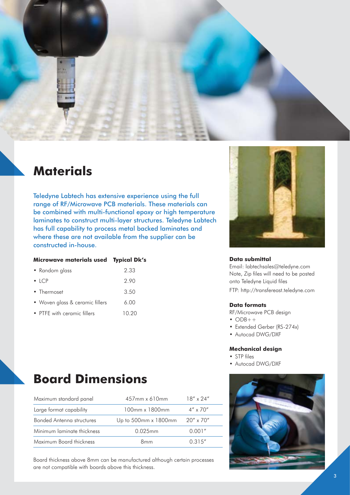

## **Materials**

Teledyne Labtech has extensive experience using the full range of RF/Microwave PCB materials. These materials can be combined with multi-functional epoxy or high temperature laminates to construct multi-layer structures. Teledyne Labtech has full capability to process metal backed laminates and where these are not available from the supplier can be constructed in-house.

#### **Microwave materials used Typical Dk's**

| • Random glass                  | 2.33  |
|---------------------------------|-------|
| $\bullet$ ICP                   | 2.90  |
| • Thermoset                     | 3.50  |
| • Woven glass & ceramic fillers | 6.00  |
| • PTFE with ceramic fillers     | 10.20 |



#### **Data submittal**

Email: labtechsales@teledyne.com Note, Zip files will need to be posted onto Teledyne Liquid files FTP: http://transfereast.teledyne.com

#### **Data formats**

RF/Microwave PCB design

- $\bullet$  ODB++
- Extended Gerber (RS-274x)
- Autocad DWG/DXF

#### **Mechanical design**

- STP files
- Autocad DWG/DXF



Board thickness above 8mm can be manufactured although certain processes are not compatible with boards above this thickness.

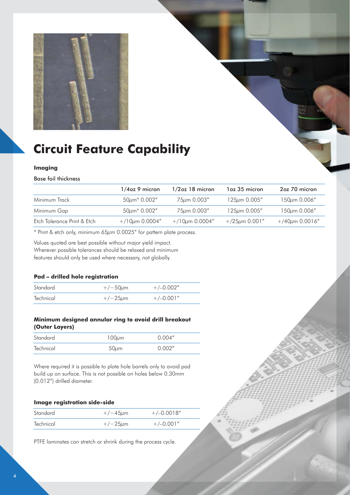

# **Circuit Feature Capability**

#### **Imaging**

#### Base foil thickness

|                             | $1/4$ oz 9 micron   | $1/2$ oz 18 micron  | 1 oz 35 micron      | 2oz 70 micron         |
|-----------------------------|---------------------|---------------------|---------------------|-----------------------|
| Minimum Track               | $50\mu m^* 0.002''$ | 75um 0.003"         | $125\mu m$ 0.005"   | $150 \mu m$ 0.006"    |
| Minimum Gap                 | $50\mu m* 0.002"$   | 75µm 0.003"         | $125 \mu m$ 0.005"  | $150 \mu m$ 0.006"    |
| Etch Tolerance Print & Etch | $+/10\mu m$ 0.0004" | $+/10\mu m$ 0.0004" | $+/25\mu m 0.001''$ | $+/40 \mu m 0.0016''$ |

\* Print & etch only, minimum 65μm 0.0025" for pattern plate process.

Values quoted are best possible without major yield impact. Wherever possible tolerances should be relaxed and minimum features should only be used where necessary, not globally.

#### **Pad – drilled hole registration**

| Standard  | $+/-50 \mu m$ | $+/-0.002"$ |
|-----------|---------------|-------------|
| Technical | $+/-25 \mu m$ | $+/-0.001"$ |

#### **Minimum designed annular ring to avoid drill breakout (Outer Layers)**

| Standard  | $100 \mu m$ | 0.004'' |
|-----------|-------------|---------|
| Technical | $50 \mu m$  | 0.002"  |

Where required it is possible to plate hole barrels only to avoid pad build up on surface. This is not possible on holes below 0.30mm (0.012") drilled diameter.

#### **Image registration side-side**

| Standard  | $+/-45 \mu m$ | $+/-0.0018''$ |
|-----------|---------------|---------------|
| Technical | $+/-25 \mu m$ | $+/-0.001"$   |

PTFE laminates can stretch or shrink during the process cycle.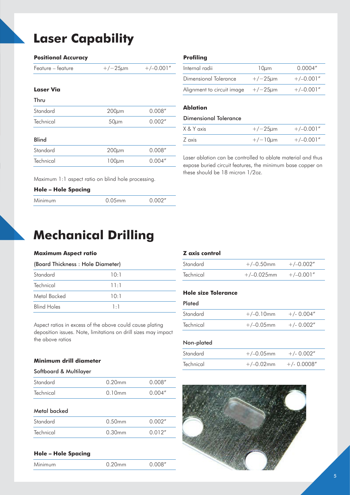# **Laser Capability**

| <b>Positional Accuracy</b> |               |             |
|----------------------------|---------------|-------------|
| Feature – feature          | $+/-25 \mu m$ | $+/-0.001"$ |
| Laser Via                  |               |             |
| Thru                       |               |             |
| Standard                   | $200 \mu m$   | 0.008''     |
| Technical                  | $50 \mu m$    | 0.002"      |
| <b>Blind</b>               |               |             |
| Standard                   | $200 \mu m$   | 0.008''     |
| Technical                  | $100 \mu m$   | 0.004''     |
|                            |               |             |

#### **Profiling**

| Internal radii             | $10 \mu m$    | 0.0004''    |
|----------------------------|---------------|-------------|
| Dimensional Tolerance      | $+/-25 \mu m$ | $+/-0.001"$ |
| Alignment to circuit image | $+/-25\mu$ m  | $+/-0.001"$ |

#### **Ablation**

#### Dimensional Tolerance

| X & Y axis | $+/-25 \mu m$ | $+/-0.001"$ |
|------------|---------------|-------------|
| Z axis     | $+/-10\mu m$  | $+/-0.001"$ |

Laser ablation can be controlled to ablate material and thus expose buried circuit features, the minimum base copper on these should be 18 micron 1/2oz.

Maximum 1:1 aspect ratio on blind hole processing.

| <b>Hole - Hole Spacing</b> |           |         |
|----------------------------|-----------|---------|
| Minimum                    | $0.05$ mm | 0.002'' |

## **Mechanical Drilling**

#### **Maximum Aspect ratio**

| (Board Thickness: Hole Diameter) |             |  |
|----------------------------------|-------------|--|
| Standard                         | 10:1        |  |
| Technical                        | 11:1        |  |
| Metal Backed                     | 10:1        |  |
| <b>Blind Holes</b>               | $1 \cdot 1$ |  |

Aspect ratios in excess of the above could cause plating deposition issues. Note, limitations on drill sizes may impact the above ratios

#### **Minimum drill diameter**

#### Softboard & Multilayer

| Standard  | $0.20$ mm | 0.008'' |
|-----------|-----------|---------|
| Technical | 0.10mm    | 0.004'' |

#### Metal backed

| Standard  | $0.50$ mm | 0.002"  |
|-----------|-----------|---------|
| Technical | 0.30mm    | 0.012'' |
|           |           |         |

#### **Hole – Hole Spacing**

| <b>Minimum</b> | 0.008''<br>$0.20$ mm |
|----------------|----------------------|
|----------------|----------------------|

### **Z axis control**

| Standard  | $+/-0.50$ mm  | $+/-0.002"$ |
|-----------|---------------|-------------|
| Technical | $+/-0.025$ mm | $+/-0.001"$ |

#### **Hole size Tolerance**

#### Plated

| Standard  | $+/-0.10$ mm | $+/- 0.004"$ |
|-----------|--------------|--------------|
| Technical | $+/-0.05$ mm | $+/- 0.002"$ |

#### Non-plated

| Standard  | $+/-0.05$ mm | $+/- 0.002''$  |
|-----------|--------------|----------------|
| Technical | $+/-0.02$ mm | $+/- 0.0008''$ |

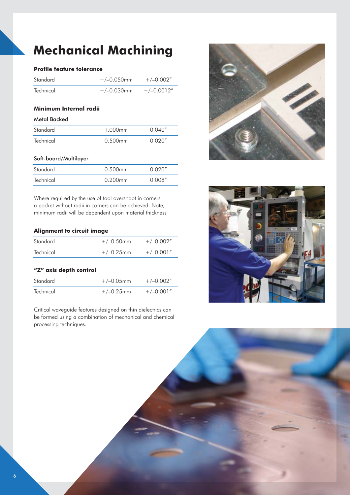# **Mechanical Machining**

#### **Profile feature tolerance**

| Standard  | $+/-0.050$ mm | $+/-0.002"$  |
|-----------|---------------|--------------|
| Technical | $+/-0.030$ mm | $+/-0.0012"$ |

### **Minimum Internal radii**

### Metal Backed

| Standard  | 1.000mm    | 0.040'' |
|-----------|------------|---------|
| Technical | $0.500$ mm | 0.020'' |

#### Soft-board/Multilayer

| Standard  | $0.500$ mm | 0.020'' |
|-----------|------------|---------|
| Technical | $0.200$ mm | O OOR"  |

Where required by the use of tool overshoot in corners a pocket without radii in corners can be achieved. Note, minimum radii will be dependent upon material thickness

#### **Alignment to circuit image**

| Standard  | $+/-0.50$ mm | $+/-0.002"$ |
|-----------|--------------|-------------|
| Technical | $+/-0.25$ mm | $+/-0.001"$ |

#### **"Z" axis depth control**

| Standard  | $+/-0.05$ mm | $+/-0.002"$ |
|-----------|--------------|-------------|
| Technical | $+/-0.25$ mm | $+/-0.001"$ |

Critical waveguide features designed on thin dielectrics can be formed using a combination of mechanical and chemical processing techniques.



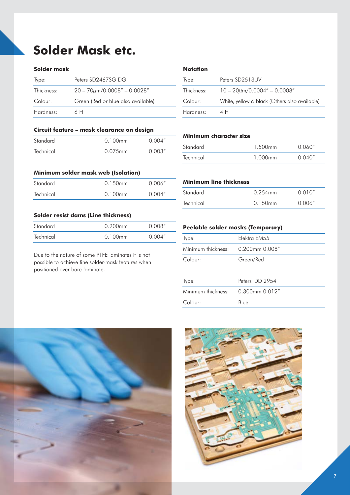# **Solder Mask etc.**

#### **Solder mask**

| Type:      | Peters SD2467SG DG                  |
|------------|-------------------------------------|
| Thickness: | $20 - 70 \mu m/0.0008'' - 0.0028''$ |
| Colour:    | Green (Red or blue also available)  |
| Hardness:  | 6 H                                 |

#### **Circuit feature – mask clearance on design**

| Standard  | $0.100$ mm | 0.004'' |
|-----------|------------|---------|
| Technical | $0.075$ mm | 0.003'' |

#### **Minimum solder mask web (Isolation)**

| Technical<br>0.004''<br>0.100mm | Standard | $0.150$ mm | 0.006" |
|---------------------------------|----------|------------|--------|
|                                 |          |            |        |

#### **Solder resist dams (Line thickness)**

| Standard  | $0.200$ mm | 0.008'' |
|-----------|------------|---------|
| Technical | $0.100$ mm | 0.004'' |

Due to the nature of some PTFE laminates it is not possible to achieve fine solder-mask features when positioned over bare laminate.

#### **Notation**

| Type:      | Peters SD2513UV                               |
|------------|-----------------------------------------------|
| Thickness: | $10 - 20 \mu m/0.0004'' - 0.0008''$           |
| Colour:    | White, yellow & black (Others also available) |
| Hardness:  | 4 H                                           |

#### **Minimum character size**

| Standard  | 1.500mm | 0.060'' |
|-----------|---------|---------|
| Technical | 1.000mm | 0.040'' |

#### **Minimum line thickness**

| Standard  | $0.254$ mm | 0.010'' |
|-----------|------------|---------|
| Technical | $0.150$ mm | 0.006'' |

#### **Peelable solder masks (Temporary)**

| Type:              | Elektra EM55        |
|--------------------|---------------------|
| Minimum thickness: | $0.200$ mm $0.008"$ |
| Colour:            | Green/Red           |
|                    |                     |
| Type:              | Peters DD 2954      |
| Minimum thickness: | 0.300mm 0.012"      |
| Colour:            | Blue                |
|                    |                     |